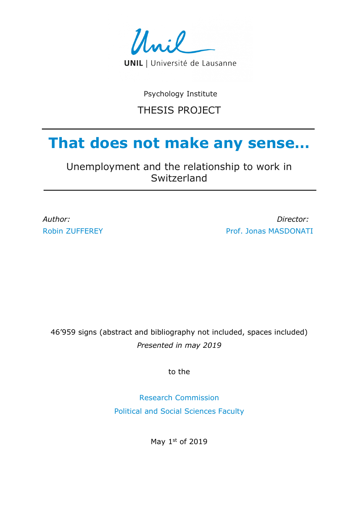

Psychology Institute

## THESIS PROJECT

# **That does not make any sense…**

Unemployment and the relationship to work in Switzerland

*Author: Director:* Robin ZUFFEREY **Prof. Jonas MASDONATI** 

46'959 signs (abstract and bibliography not included, spaces included) *Presented in may 2019* 

to the

Research Commission Political and Social Sciences Faculty

May 1st of 2019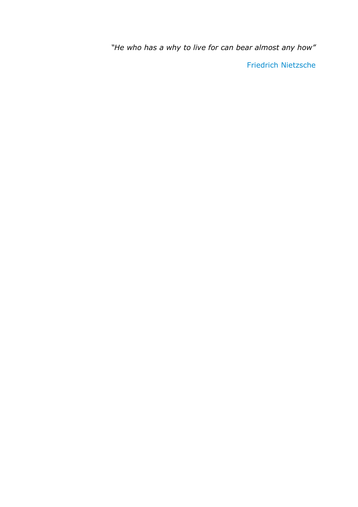*"He who has a why to live for can bear almost any how"*

Friedrich Nietzsche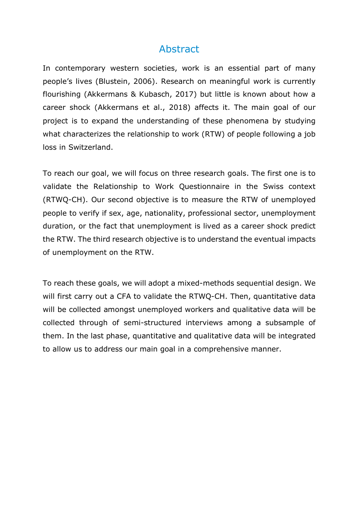## Abstract

In contemporary western societies, work is an essential part of many people's lives (Blustein, 2006). Research on meaningful work is currently flourishing (Akkermans & Kubasch, 2017) but little is known about how a career shock (Akkermans et al., 2018) affects it. The main goal of our project is to expand the understanding of these phenomena by studying what characterizes the relationship to work (RTW) of people following a job loss in Switzerland.

To reach our goal, we will focus on three research goals. The first one is to validate the Relationship to Work Questionnaire in the Swiss context (RTWQ-CH). Our second objective is to measure the RTW of unemployed people to verify if sex, age, nationality, professional sector, unemployment duration, or the fact that unemployment is lived as a career shock predict the RTW. The third research objective is to understand the eventual impacts of unemployment on the RTW.

To reach these goals, we will adopt a mixed-methods sequential design. We will first carry out a CFA to validate the RTWQ-CH. Then, quantitative data will be collected amongst unemployed workers and qualitative data will be collected through of semi-structured interviews among a subsample of them. In the last phase, quantitative and qualitative data will be integrated to allow us to address our main goal in a comprehensive manner.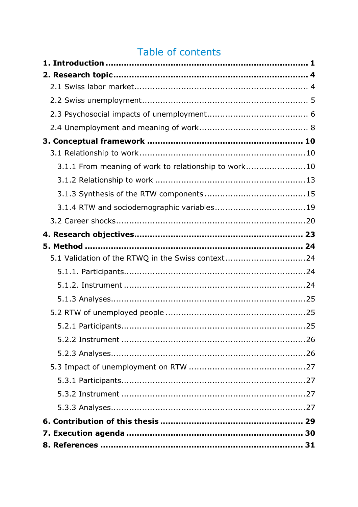## Table of contents

| 3.1.1 From meaning of work to relationship to work10 |  |
|------------------------------------------------------|--|
|                                                      |  |
|                                                      |  |
|                                                      |  |
|                                                      |  |
|                                                      |  |
|                                                      |  |
| 5.1 Validation of the RTWQ in the Swiss context24    |  |
|                                                      |  |
|                                                      |  |
|                                                      |  |
|                                                      |  |
|                                                      |  |
|                                                      |  |
|                                                      |  |
|                                                      |  |
|                                                      |  |
|                                                      |  |
|                                                      |  |
|                                                      |  |
|                                                      |  |
|                                                      |  |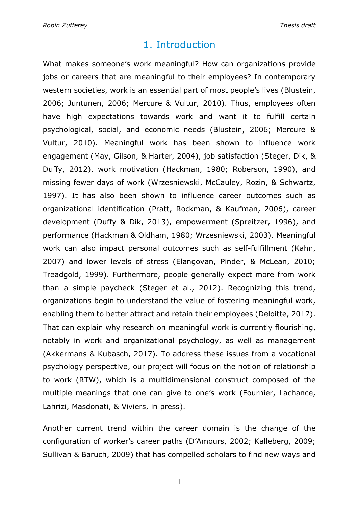## 1. Introduction

What makes someone's work meaningful? How can organizations provide jobs or careers that are meaningful to their employees? In contemporary western societies, work is an essential part of most people's lives (Blustein, 2006; Juntunen, 2006; Mercure & Vultur, 2010). Thus, employees often have high expectations towards work and want it to fulfill certain psychological, social, and economic needs (Blustein, 2006; Mercure & Vultur, 2010). Meaningful work has been shown to influence work engagement (May, Gilson, & Harter, 2004), job satisfaction (Steger, Dik, & Duffy, 2012), work motivation (Hackman, 1980; Roberson, 1990), and missing fewer days of work (Wrzesniewski, McCauley, Rozin, & Schwartz, 1997). It has also been shown to influence career outcomes such as organizational identification (Pratt, Rockman, & Kaufman, 2006), career development (Duffy & Dik, 2013), empowerment (Spreitzer, 1996), and performance (Hackman & Oldham, 1980; Wrzesniewski, 2003). Meaningful work can also impact personal outcomes such as self-fulfillment (Kahn, 2007) and lower levels of stress (Elangovan, Pinder, & McLean, 2010; Treadgold, 1999). Furthermore, people generally expect more from work than a simple paycheck (Steger et al., 2012). Recognizing this trend, organizations begin to understand the value of fostering meaningful work, enabling them to better attract and retain their employees (Deloitte, 2017). That can explain why research on meaningful work is currently flourishing, notably in work and organizational psychology, as well as management (Akkermans & Kubasch, 2017). To address these issues from a vocational psychology perspective, our project will focus on the notion of relationship to work (RTW), which is a multidimensional construct composed of the multiple meanings that one can give to one's work (Fournier, Lachance, Lahrizi, Masdonati, & Viviers, in press).

Another current trend within the career domain is the change of the configuration of worker's career paths (D'Amours, 2002; Kalleberg, 2009; Sullivan & Baruch, 2009) that has compelled scholars to find new ways and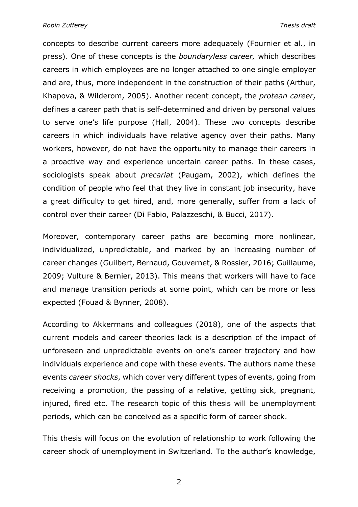concepts to describe current careers more adequately (Fournier et al., in press). One of these concepts is the *boundaryless career,* which describes careers in which employees are no longer attached to one single employer and are, thus, more independent in the construction of their paths (Arthur, Khapova, & Wilderom, 2005). Another recent concept, the *protean career*, defines a career path that is self-determined and driven by personal values to serve one's life purpose (Hall, 2004). These two concepts describe careers in which individuals have relative agency over their paths. Many workers, however, do not have the opportunity to manage their careers in a proactive way and experience uncertain career paths. In these cases, sociologists speak about *precariat* (Paugam, 2002), which defines the condition of people who feel that they live in constant job insecurity, have a great difficulty to get hired, and, more generally, suffer from a lack of control over their career (Di Fabio, Palazzeschi, & Bucci, 2017).

Moreover, contemporary career paths are becoming more nonlinear, individualized, unpredictable, and marked by an increasing number of career changes (Guilbert, Bernaud, Gouvernet, & Rossier, 2016; Guillaume, 2009; Vulture & Bernier, 2013). This means that workers will have to face and manage transition periods at some point, which can be more or less expected (Fouad & Bynner, 2008).

According to Akkermans and colleagues (2018), one of the aspects that current models and career theories lack is a description of the impact of unforeseen and unpredictable events on one's career trajectory and how individuals experience and cope with these events. The authors name these events *career shocks*, which cover very different types of events, going from receiving a promotion, the passing of a relative, getting sick, pregnant, injured, fired etc. The research topic of this thesis will be unemployment periods, which can be conceived as a specific form of career shock.

This thesis will focus on the evolution of relationship to work following the career shock of unemployment in Switzerland. To the author's knowledge,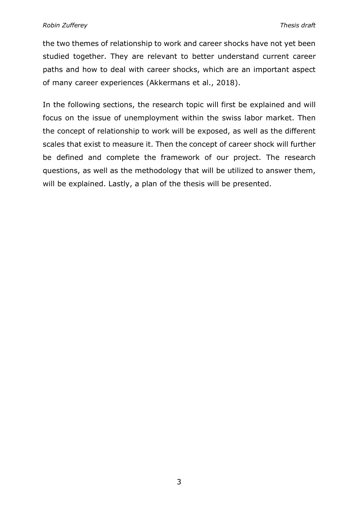the two themes of relationship to work and career shocks have not yet been studied together. They are relevant to better understand current career paths and how to deal with career shocks, which are an important aspect of many career experiences (Akkermans et al., 2018).

In the following sections, the research topic will first be explained and will focus on the issue of unemployment within the swiss labor market. Then the concept of relationship to work will be exposed, as well as the different scales that exist to measure it. Then the concept of career shock will further be defined and complete the framework of our project. The research questions, as well as the methodology that will be utilized to answer them, will be explained. Lastly, a plan of the thesis will be presented.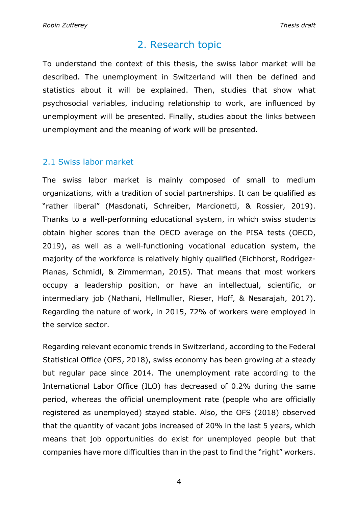## 2. Research topic

To understand the context of this thesis, the swiss labor market will be described. The unemployment in Switzerland will then be defined and statistics about it will be explained. Then, studies that show what psychosocial variables, including relationship to work, are influenced by unemployment will be presented. Finally, studies about the links between unemployment and the meaning of work will be presented.

## 2.1 Swiss labor market

The swiss labor market is mainly composed of small to medium organizations, with a tradition of social partnerships. It can be qualified as "rather liberal" (Masdonati, Schreiber, Marcionetti, & Rossier, 2019). Thanks to a well-performing educational system, in which swiss students obtain higher scores than the OECD average on the PISA tests (OECD, 2019), as well as a well-functioning vocational education system, the majority of the workforce is relatively highly qualified (Eichhorst, Rodrìgez-Planas, Schmidl, & Zimmerman, 2015). That means that most workers occupy a leadership position, or have an intellectual, scientific, or intermediary job (Nathani, Hellmüller, Rieser, Hoff, & Nesarajah, 2017). Regarding the nature of work, in 2015, 72% of workers were employed in the service sector.

Regarding relevant economic trends in Switzerland, according to the Federal Statistical Office (OFS, 2018), swiss economy has been growing at a steady but regular pace since 2014. The unemployment rate according to the International Labor Office (ILO) has decreased of 0.2% during the same period, whereas the official unemployment rate (people who are officially registered as unemployed) stayed stable. Also, the OFS (2018) observed that the quantity of vacant jobs increased of 20% in the last 5 years, which means that job opportunities do exist for unemployed people but that companies have more difficulties than in the past to find the "right" workers.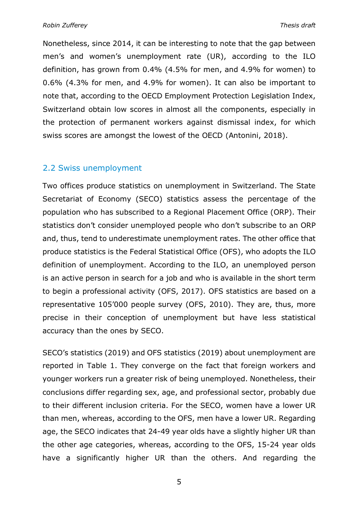Nonetheless, since 2014, it can be interesting to note that the gap between men's and women's unemployment rate (UR), according to the ILO definition, has grown from 0.4% (4.5% for men, and 4.9% for women) to 0.6% (4.3% for men, and 4.9% for women). It can also be important to note that, according to the OECD Employment Protection Legislation Index, Switzerland obtain low scores in almost all the components, especially in the protection of permanent workers against dismissal index, for which swiss scores are amongst the lowest of the OECD (Antonini, 2018).

#### 2.2 Swiss unemployment

Two offices produce statistics on unemployment in Switzerland. The State Secretariat of Economy (SECO) statistics assess the percentage of the population who has subscribed to a Regional Placement Office (ORP). Their statistics don't consider unemployed people who don't subscribe to an ORP and, thus, tend to underestimate unemployment rates. The other office that produce statistics is the Federal Statistical Office (OFS), who adopts the ILO definition of unemployment. According to the ILO, an unemployed person is an active person in search for a job and who is available in the short term to begin a professional activity (OFS, 2017). OFS statistics are based on a representative 105'000 people survey (OFS, 2010). They are, thus, more precise in their conception of unemployment but have less statistical accuracy than the ones by SECO.

SECO's statistics (2019) and OFS statistics (2019) about unemployment are reported in Table 1. They converge on the fact that foreign workers and younger workers run a greater risk of being unemployed. Nonetheless, their conclusions differ regarding sex, age, and professional sector, probably due to their different inclusion criteria. For the SECO, women have a lower UR than men, whereas, according to the OFS, men have a lower UR. Regarding age, the SECO indicates that 24-49 year olds have a slightly higher UR than the other age categories, whereas, according to the OFS, 15-24 year olds have a significantly higher UR than the others. And regarding the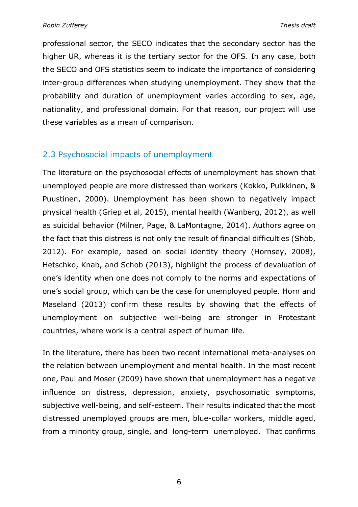professional sector, the SECO indicates that the secondary sector has the higher UR, whereas it is the tertiary sector for the OFS. In any case, both the SECO and OFS statistics seem to indicate the importance of considering inter-group differences when studying unemployment. They show that the probability and duration of unemployment varies according to sex, age, nationality, and professional domain. For that reason, our project will use these variables as a mean of comparison.

## 2.3 Psychosocial impacts of unemployment

The literature on the psychosocial effects of unemployment has shown that unemployed people are more distressed than workers (Kokko, Pulkkinen, & Puustinen, 2000). Unemployment has been shown to negatively impact physical health (Griep et al, 2015), mental health (Wanberg, 2012), as well as suicidal behavior (Milner, Page, & LaMontagne, 2014). Authors agree on the fact that this distress is not only the result of financial difficulties (Shöb, 2012). For example, based on social identity theory (Hornsey, 2008), Hetschko, Knab, and Schob (2013), highlight the process of devaluation of one's identity when one does not comply to the norms and expectations of one's social group, which can be the case for unemployed people. Horn and Maseland (2013) confirm these results by showing that the effects of unemployment on subjective well-being are stronger in Protestant countries, where work is a central aspect of human life.

In the literature, there has been two recent international meta-analyses on the relation between unemployment and mental health. In the most recent one, Paul and Moser (2009) have shown that unemployment has a negative influence on distress, depression, anxiety, psychosomatic symptoms, subjective well-being, and self-esteem. Their results indicated that the most distressed unemployed groups are men, blue-collar workers, middle aged, from a minority group, single, and long-term unemployed. That confirms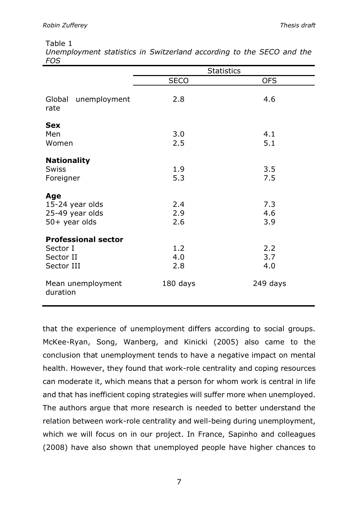#### Table 1

| Unemployment statistics in Switzerland according to the SECO and the |  |  |  |  |  |
|----------------------------------------------------------------------|--|--|--|--|--|
| FOS                                                                  |  |  |  |  |  |

|                                                                   |                   | <b>Statistics</b> |
|-------------------------------------------------------------------|-------------------|-------------------|
|                                                                   | <b>SECO</b>       | <b>OFS</b>        |
| Global<br>unemployment<br>rate                                    | 2.8               | 4.6               |
| <b>Sex</b><br>Men<br>Women                                        | 3.0<br>2.5        | 4.1<br>5.1        |
| <b>Nationality</b><br><b>Swiss</b><br>Foreigner                   | 1.9<br>5.3        | 3.5<br>7.5        |
| Age<br>15-24 year olds<br>25-49 year olds<br>$50+$ year olds      | 2.4<br>2.9<br>2.6 | 7.3<br>4.6<br>3.9 |
| <b>Professional sector</b><br>Sector I<br>Sector II<br>Sector III | 1.2<br>4.0<br>2.8 | 2.2<br>3.7<br>4.0 |
| Mean unemployment<br>duration                                     | 180 days          | 249 days          |

that the experience of unemployment differs according to social groups. McKee-Ryan, Song, Wanberg, and Kinicki (2005) also came to the conclusion that unemployment tends to have a negative impact on mental health. However, they found that work-role centrality and coping resources can moderate it, which means that a person for whom work is central in life and that has inefficient coping strategies will suffer more when unemployed. The authors argue that more research is needed to better understand the relation between work-role centrality and well-being during unemployment, which we will focus on in our project. In France, Sapinho and colleagues (2008) have also shown that unemployed people have higher chances to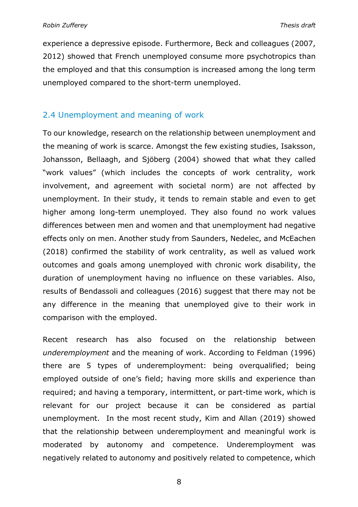experience a depressive episode. Furthermore, Beck and colleagues (2007, 2012) showed that French unemployed consume more psychotropics than the employed and that this consumption is increased among the long term unemployed compared to the short-term unemployed.

#### 2.4 Unemployment and meaning of work

To our knowledge, research on the relationship between unemployment and the meaning of work is scarce. Amongst the few existing studies, Isaksson, Johansson, Bellaagh, and Sjöberg (2004) showed that what they called "work values" (which includes the concepts of work centrality, work involvement, and agreement with societal norm) are not affected by unemployment. In their study, it tends to remain stable and even to get higher among long-term unemployed. They also found no work values differences between men and women and that unemployment had negative effects only on men. Another study from Saunders, Nedelec, and McEachen (2018) confirmed the stability of work centrality, as well as valued work outcomes and goals among unemployed with chronic work disability, the duration of unemployment having no influence on these variables. Also, results of Bendassoli and colleagues (2016) suggest that there may not be any difference in the meaning that unemployed give to their work in comparison with the employed.

Recent research has also focused on the relationship between *underemployment* and the meaning of work. According to Feldman (1996) there are 5 types of underemployment: being overqualified; being employed outside of one's field; having more skills and experience than required; and having a temporary, intermittent, or part-time work, which is relevant for our project because it can be considered as partial unemployment. In the most recent study, Kim and Allan (2019) showed that the relationship between underemployment and meaningful work is moderated by autonomy and competence. Underemployment was negatively related to autonomy and positively related to competence, which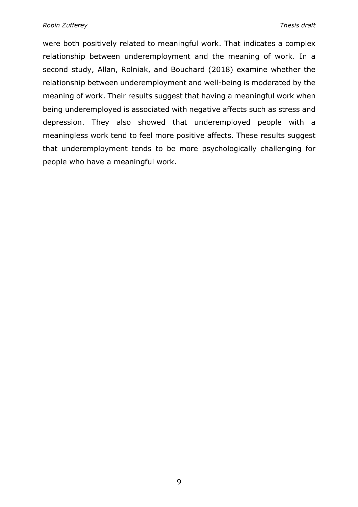were both positively related to meaningful work. That indicates a complex relationship between underemployment and the meaning of work. In a second study, Allan, Rolniak, and Bouchard (2018) examine whether the relationship between underemployment and well-being is moderated by the meaning of work. Their results suggest that having a meaningful work when being underemployed is associated with negative affects such as stress and depression. They also showed that underemployed people with a meaningless work tend to feel more positive affects. These results suggest that underemployment tends to be more psychologically challenging for people who have a meaningful work.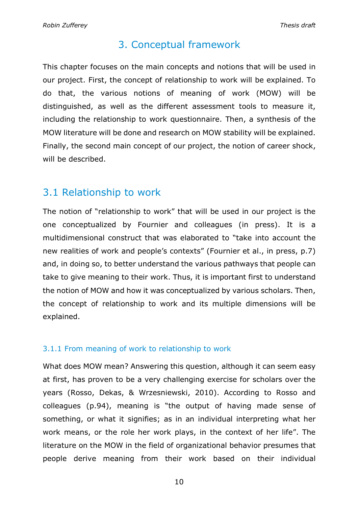## 3. Conceptual framework

This chapter focuses on the main concepts and notions that will be used in our project. First, the concept of relationship to work will be explained. To do that, the various notions of meaning of work (MOW) will be distinguished, as well as the different assessment tools to measure it, including the relationship to work questionnaire. Then, a synthesis of the MOW literature will be done and research on MOW stability will be explained. Finally, the second main concept of our project, the notion of career shock, will be described.

## 3.1 Relationship to work

The notion of "relationship to work" that will be used in our project is the one conceptualized by Fournier and colleagues (in press). It is a multidimensional construct that was elaborated to "take into account the new realities of work and people's contexts" (Fournier et al., in press, p.7) and, in doing so, to better understand the various pathways that people can take to give meaning to their work. Thus, it is important first to understand the notion of MOW and how it was conceptualized by various scholars. Then, the concept of relationship to work and its multiple dimensions will be explained.

## 3.1.1 From meaning of work to relationship to work

What does MOW mean? Answering this question, although it can seem easy at first, has proven to be a very challenging exercise for scholars over the years (Rosso, Dekas, & Wrzesniewski, 2010). According to Rosso and colleagues (p.94), meaning is "the output of having made sense of something, or what it signifies; as in an individual interpreting what her work means, or the role her work plays, in the context of her life". The literature on the MOW in the field of organizational behavior presumes that people derive meaning from their work based on their individual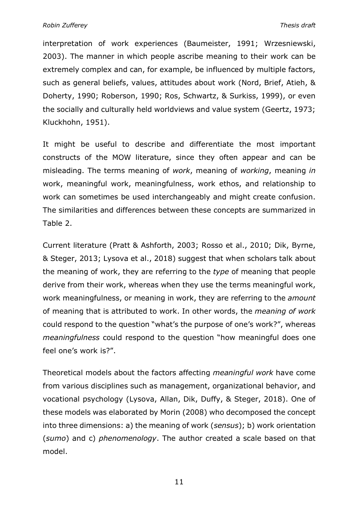interpretation of work experiences (Baumeister, 1991; Wrzesniewski, 2003). The manner in which people ascribe meaning to their work can be extremely complex and can, for example, be influenced by multiple factors, such as general beliefs, values, attitudes about work (Nord, Brief, Atieh, & Doherty, 1990; Roberson, 1990; Ros, Schwartz, & Surkiss, 1999), or even the socially and culturally held worldviews and value system (Geertz, 1973; Kluckhohn, 1951).

It might be useful to describe and differentiate the most important constructs of the MOW literature, since they often appear and can be misleading. The terms meaning of *work*, meaning of *working*, meaning *in* work, meaningful work, meaningfulness, work ethos, and relationship to work can sometimes be used interchangeably and might create confusion. The similarities and differences between these concepts are summarized in Table 2.

Current literature (Pratt & Ashforth, 2003; Rosso et al., 2010; Dik, Byrne, & Steger, 2013; Lysova et al., 2018) suggest that when scholars talk about the meaning of work, they are referring to the *type* of meaning that people derive from their work, whereas when they use the terms meaningful work, work meaningfulness, or meaning in work, they are referring to the *amount*  of meaning that is attributed to work. In other words, the *meaning of work* could respond to the question "what's the purpose of one's work?", whereas *meaningfulness* could respond to the question "how meaningful does one feel one's work is?".

Theoretical models about the factors affecting *meaningful work* have come from various disciplines such as management, organizational behavior, and vocational psychology (Lysova, Allan, Dik, Duffy, & Steger, 2018). One of these models was elaborated by Morin (2008) who decomposed the concept into three dimensions: a) the meaning of work (*sensus*); b) work orientation (*sumo*) and c) *phenomenology*. The author created a scale based on that model.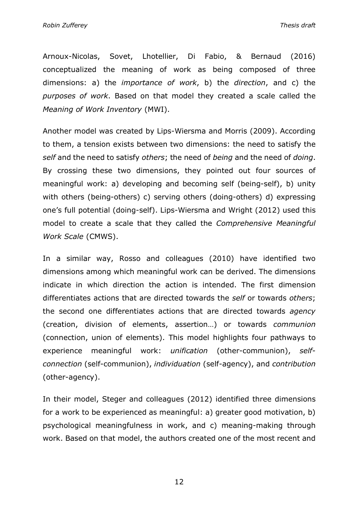*Robin Zufferey Thesis draft*

Arnoux-Nicolas, Sovet, Lhotellier, Di Fabio, & Bernaud (2016) conceptualized the meaning of work as being composed of three dimensions: a) the *importance of work*, b) the *direction*, and c) the *purposes of work*. Based on that model they created a scale called the *Meaning of Work Inventory* (MWI).

Another model was created by Lips-Wiersma and Morris (2009). According to them, a tension exists between two dimensions: the need to satisfy the *self* and the need to satisfy *others*; the need of *being* and the need of *doing*. By crossing these two dimensions, they pointed out four sources of meaningful work: a) developing and becoming self (being-self), b) unity with others (being-others) c) serving others (doing-others) d) expressing one's full potential (doing-self). Lips-Wiersma and Wright (2012) used this model to create a scale that they called the *Comprehensive Meaningful Work Scale* (CMWS).

In a similar way, Rosso and colleagues (2010) have identified two dimensions among which meaningful work can be derived. The dimensions indicate in which direction the action is intended. The first dimension differentiates actions that are directed towards the *self* or towards *others*; the second one differentiates actions that are directed towards *agency*  (creation, division of elements, assertion…) or towards *communion* (connection, union of elements). This model highlights four pathways to experience meaningful work: *unification* (other-communion), *selfconnection* (self-communion), *individuation* (self-agency), and *contribution* (other-agency).

In their model, Steger and colleagues (2012) identified three dimensions for a work to be experienced as meaningful: a) greater good motivation, b) psychological meaningfulness in work, and c) meaning-making through work. Based on that model, the authors created one of the most recent and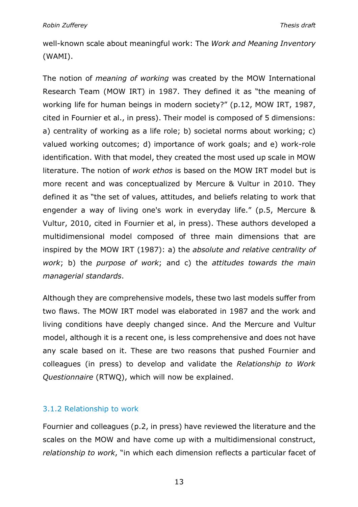well-known scale about meaningful work: The *Work and Meaning Inventory* (WAMI).

The notion of *meaning of working* was created by the MOW International Research Team (MOW IRT) in 1987. They defined it as "the meaning of working life for human beings in modern society?" (p.12, MOW IRT, 1987, cited in Fournier et al., in press). Their model is composed of 5 dimensions: a) centrality of working as a life role; b) societal norms about working; c) valued working outcomes; d) importance of work goals; and e) work-role identification. With that model, they created the most used up scale in MOW literature. The notion of *work ethos* is based on the MOW IRT model but is more recent and was conceptualized by Mercure & Vultur in 2010. They defined it as "the set of values, attitudes, and beliefs relating to work that engender a way of living one's work in everyday life." (p.5, Mercure & Vultur, 2010, cited in Fournier et al, in press). These authors developed a multidimensional model composed of three main dimensions that are inspired by the MOW IRT (1987): a) the *absolute and relative centrality of work*; b) the *purpose of work*; and c) the *attitudes towards the main managerial standards*.

Although they are comprehensive models, these two last models suffer from two flaws. The MOW IRT model was elaborated in 1987 and the work and living conditions have deeply changed since. And the Mercure and Vultur model, although it is a recent one, is less comprehensive and does not have any scale based on it. These are two reasons that pushed Fournier and colleagues (in press) to develop and validate the *Relationship to Work Questionnaire* (RTWQ), which will now be explained.

#### 3.1.2 Relationship to work

Fournier and colleagues (p.2, in press) have reviewed the literature and the scales on the MOW and have come up with a multidimensional construct, *relationship to work*, "in which each dimension reflects a particular facet of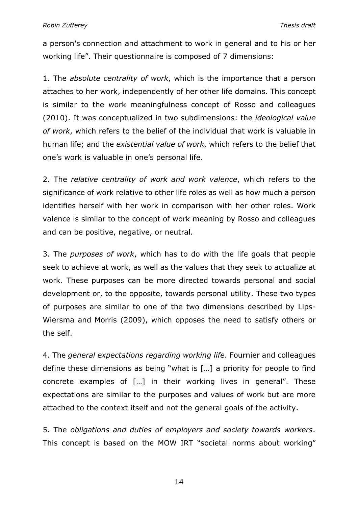a person's connection and attachment to work in general and to his or her working life". Their questionnaire is composed of 7 dimensions:

1. The *absolute centrality of work*, which is the importance that a person attaches to her work, independently of her other life domains. This concept is similar to the work meaningfulness concept of Rosso and colleagues (2010). It was conceptualized in two subdimensions: the *ideological value of work*, which refers to the belief of the individual that work is valuable in human life; and the *existential value of work*, which refers to the belief that one's work is valuable in one's personal life.

2. The *relative centrality of work and work valence*, which refers to the significance of work relative to other life roles as well as how much a person identifies herself with her work in comparison with her other roles. Work valence is similar to the concept of work meaning by Rosso and colleagues and can be positive, negative, or neutral.

3. The *purposes of work*, which has to do with the life goals that people seek to achieve at work, as well as the values that they seek to actualize at work. These purposes can be more directed towards personal and social development or, to the opposite, towards personal utility. These two types of purposes are similar to one of the two dimensions described by Lips-Wiersma and Morris (2009), which opposes the need to satisfy others or the self.

4. The *general expectations regarding working life*. Fournier and colleagues define these dimensions as being "what is […] a priority for people to find concrete examples of […] in their working lives in general". These expectations are similar to the purposes and values of work but are more attached to the context itself and not the general goals of the activity.

5. The *obligations and duties of employers and society towards workers*. This concept is based on the MOW IRT "societal norms about working"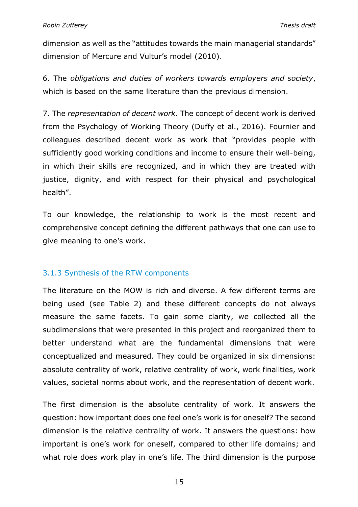dimension as well as the "attitudes towards the main managerial standards" dimension of Mercure and Vultur's model (2010).

6. The *obligations and duties of workers towards employers and society*, which is based on the same literature than the previous dimension.

7. The *representation of decent work*. The concept of decent work is derived from the Psychology of Working Theory (Duffy et al., 2016). Fournier and colleagues described decent work as work that "provides people with sufficiently good working conditions and income to ensure their well-being, in which their skills are recognized, and in which they are treated with justice, dignity, and with respect for their physical and psychological health".

To our knowledge, the relationship to work is the most recent and comprehensive concept defining the different pathways that one can use to give meaning to one's work.

#### 3.1.3 Synthesis of the RTW components

The literature on the MOW is rich and diverse. A few different terms are being used (see Table 2) and these different concepts do not always measure the same facets. To gain some clarity, we collected all the subdimensions that were presented in this project and reorganized them to better understand what are the fundamental dimensions that were conceptualized and measured. They could be organized in six dimensions: absolute centrality of work, relative centrality of work, work finalities, work values, societal norms about work, and the representation of decent work.

The first dimension is the absolute centrality of work. It answers the question: how important does one feel one's work is for oneself? The second dimension is the relative centrality of work. It answers the questions: how important is one's work for oneself, compared to other life domains; and what role does work play in one's life. The third dimension is the purpose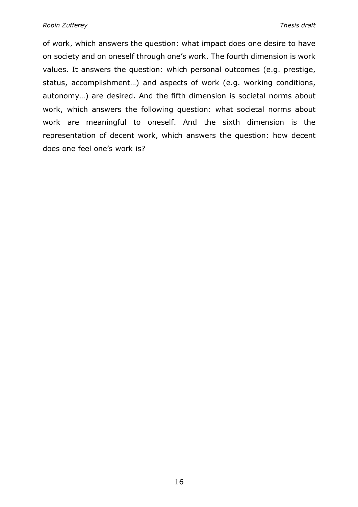of work, which answers the question: what impact does one desire to have on society and on oneself through one's work. The fourth dimension is work values. It answers the question: which personal outcomes (e.g. prestige, status, accomplishment…) and aspects of work (e.g. working conditions, autonomy…) are desired. And the fifth dimension is societal norms about work, which answers the following question: what societal norms about work are meaningful to oneself. And the sixth dimension is the representation of decent work, which answers the question: how decent does one feel one's work is?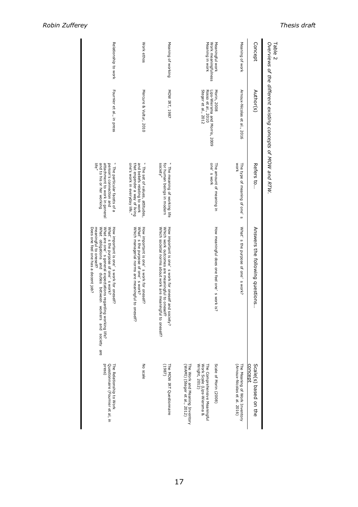| Table 2                                                   | Overviews of the different existing concepts of MOW and RTW.                              |                                                                                                                                   |                                                                                                                                                                                                                                                                              |                                                                                                                                                                        |
|-----------------------------------------------------------|-------------------------------------------------------------------------------------------|-----------------------------------------------------------------------------------------------------------------------------------|------------------------------------------------------------------------------------------------------------------------------------------------------------------------------------------------------------------------------------------------------------------------------|------------------------------------------------------------------------------------------------------------------------------------------------------------------------|
| Concept                                                   | Author(s)                                                                                 | Refers to                                                                                                                         | Answers the following questions                                                                                                                                                                                                                                              | Scale(s) based on the<br>concept                                                                                                                                       |
| Meaning of work                                           | Arnoux-Nicolas et al., 2016                                                               | <b>WOrk</b><br>The type of meaning of one's                                                                                       | What's the purpose of one's work?                                                                                                                                                                                                                                            | (Arnoux-Nicolas et al. 2016)<br>The Meaning of Work Inventory                                                                                                          |
| Meaning in work<br>Meaningful work<br>Work meaningfulness | Steger et al., 2012<br>Lips-Wiersma and Morris, 2009<br>Rosso et al., 2010<br>Morin, 2008 | one's work<br>The amount of meaning in                                                                                            | How meaningful does one feel one' s work is?                                                                                                                                                                                                                                 | Scale of Morin (2008)<br>Work Scale (Lips-Wiersma &<br>Wright, 2012)<br>The Comprehensive Meaningful<br>The Work and Meaning Inventory<br>(WAMI) (Steger et al., 2012) |
| Meaning of working                                        | MOW IRT, 1987                                                                             | " The meaning of working life<br>society"<br>for human beings in modern                                                           | How important is one's work for oneself<br>Which work outcomes are meaningful to oneself?<br>Which societal norms about work are meaningful to oneself?<br>and society?                                                                                                      | The MOW IRT Questionnaire<br>(198)                                                                                                                                     |
| Work ethos                                                | Mercure & Vultur, 2010                                                                    | " The set of values, attitudes,<br>one's work in everyday life."<br>that engender a way of living<br>and beliefs relating to work | Which managerial norms are meaningful to oneself?<br>How important is one's work for oneself?<br>What's the purpose of one's work?                                                                                                                                           | No scale                                                                                                                                                               |
| Relationship to work                                      | Fournier et al., in press                                                                 | " The particular facets of a<br>life"<br>and to his or her working<br>attachment to work in general<br>person's connection and    | Does one feel one has a decent job?<br>meaningful to oneself?<br>What are one's general expectations regarding working life?<br>What obligations and duties between workers and society are<br>What's the purpose of one's work?<br>How important is one's work for oneself? | press)<br>Questionnaire (Fournier et al, in<br>The Relationship to Work                                                                                                |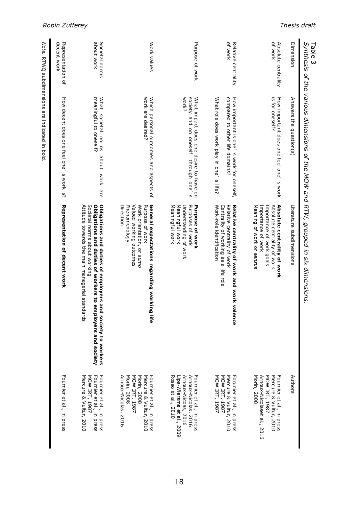| Table 3                          | Synthesis of the various dimensions of the MOW and RTW, grouped in six dimensions.                                            |                                                                                                                                                                                                                |                                                                                                                             |
|----------------------------------|-------------------------------------------------------------------------------------------------------------------------------|----------------------------------------------------------------------------------------------------------------------------------------------------------------------------------------------------------------|-----------------------------------------------------------------------------------------------------------------------------|
| Dimension                        | Answers the question(s)                                                                                                       | Literature subdimensions                                                                                                                                                                                       | Authors                                                                                                                     |
| of work<br>Absolute centrality   | How important does one feel one<br>is for oneself?<br>S WOrk                                                                  | Absolute centrality of work<br>Meaning of work or sensus<br>Importance of work<br>Importance of work goals<br>Absolute centrality of work                                                                      | MOW IRT, 1987<br>Morin, 2008<br>Fournier et al., in press<br>Arnoux-Nicolaset al., 2016<br>Mercure & Vultur, 2010           |
| Of WOrk<br>Relative centrality   | compared to other life domains.<br>How important is one'<br>What role does work play in one<br>s work for oneself,<br>s life? | Work-role identification<br>Centrality of working as a life role<br>Relative centrality of work and work<br>Relative centrality of work<br>ralence                                                             | MOW IRT, 1987<br>MOW IRT, 1987<br>Mercure & Vultur, 2010<br>Forunier et al., in press                                       |
| Purpose of work                  | WOrk?<br>society and on oneself<br>What impact does one desire to have on<br>through one'<br>$\omega$                         | Meaningful work<br>Meaningful work<br>Understanding of work<br>Purposes of work<br>Purpose of work                                                                                                             | Arnoux-Nicolas, 2016<br>Arnoux-Nicoas, 2016<br>Rosso et al., 2010<br>Fournier et al., in press<br>Lips-Wiersma et al., 2009 |
| Work values                      | work are desired?<br>Which personal outcomes and aspects of                                                                   | Phenomenology<br>Valued working outcomes<br>Purpose of work<br>General expectations regarding worki<br>Direction<br>Work orientation, or sumo<br>ing life                                                      | Mercure & Vultur, 2010<br>Arnoux-Nicolas, 2016<br>Morin, 2008<br>MOW IRT, 1987<br>Fournier et al., in press<br>Morin, 2008  |
| about work<br>Societal norms     | meaningful to oneself?<br>What<br>societal norms<br>about work<br>are<br>P                                                    | Obligations and duties of employers and society to workers<br>Attitude towards the main managerial sta<br>Societal norms about working<br>Obligations and duties of workers to employers and society<br>ndards | Fournier et al., in press<br>Fournier et al., in press<br>Mercure & Vultur, 2010<br>MOW IRT, 1987                           |
| decent work<br>Representation of | How decent does one feel one, s work is?                                                                                      | Representation of decent work                                                                                                                                                                                  | Fournier et al., in press                                                                                                   |
| Note.                            | RTWQ subdimensions are indicated in bold.                                                                                     |                                                                                                                                                                                                                |                                                                                                                             |

*Robin Zufferey Thesis draft*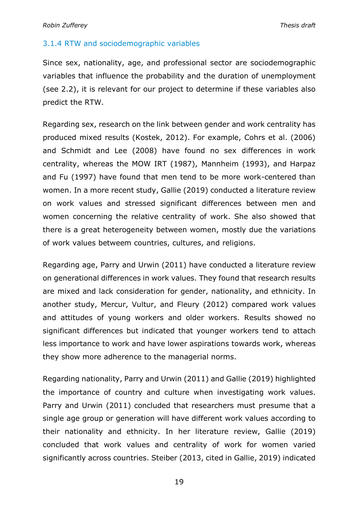#### 3.1.4 RTW and sociodemographic variables

Since sex, nationality, age, and professional sector are sociodemographic variables that influence the probability and the duration of unemployment (see 2.2), it is relevant for our project to determine if these variables also predict the RTW.

Regarding sex, research on the link between gender and work centrality has produced mixed results (Kostek, 2012). For example, Cohrs et al. (2006) and Schmidt and Lee (2008) have found no sex differences in work centrality, whereas the MOW IRT (1987), Mannheim (1993), and Harpaz and Fu (1997) have found that men tend to be more work-centered than women. In a more recent study, Gallie (2019) conducted a literature review on work values and stressed significant differences between men and women concerning the relative centrality of work. She also showed that there is a great heterogeneity between women, mostly due the variations of work values betweem countries, cultures, and religions.

Regarding age, Parry and Urwin (2011) have conducted a literature review on generational differences in work values. They found that research results are mixed and lack consideration for gender, nationality, and ethnicity. In another study, Mercur, Vultur, and Fleury (2012) compared work values and attitudes of young workers and older workers. Results showed no significant differences but indicated that younger workers tend to attach less importance to work and have lower aspirations towards work, whereas they show more adherence to the managerial norms.

Regarding nationality, Parry and Urwin (2011) and Gallie (2019) highlighted the importance of country and culture when investigating work values. Parry and Urwin (2011) concluded that researchers must presume that a single age group or generation will have different work values according to their nationality and ethnicity. In her literature review, Gallie (2019) concluded that work values and centrality of work for women varied significantly across countries. Steiber (2013, cited in Gallie, 2019) indicated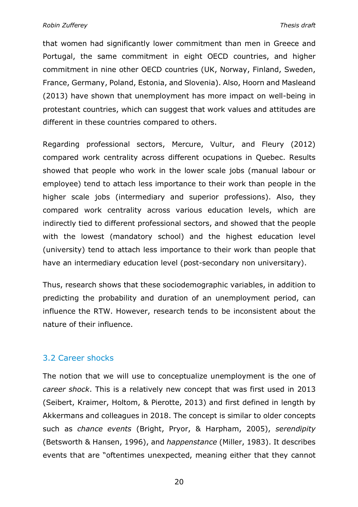that women had significantly lower commitment than men in Greece and Portugal, the same commitment in eight OECD countries, and higher commitment in nine other OECD countries (UK, Norway, Finland, Sweden, France, Germany, Poland, Estonia, and Slovenia). Also, Hoorn and Masleand (2013) have shown that unemployment has more impact on well-being in protestant countries, which can suggest that work values and attitudes are different in these countries compared to others.

Regarding professional sectors, Mercure, Vultur, and Fleury (2012) compared work centrality across different ocupations in Quebec. Results showed that people who work in the lower scale jobs (manual labour or employee) tend to attach less importance to their work than people in the higher scale jobs (intermediary and superior professions). Also, they compared work centrality across various education levels, which are indirectly tied to different professional sectors, and showed that the people with the lowest (mandatory school) and the highest education level (university) tend to attach less importance to their work than people that have an intermediary education level (post-secondary non universitary).

Thus, research shows that these sociodemographic variables, in addition to predicting the probability and duration of an unemployment period, can influence the RTW. However, research tends to be inconsistent about the nature of their influence.

#### 3.2 Career shocks

The notion that we will use to conceptualize unemployment is the one of *career shock*. This is a relatively new concept that was first used in 2013 (Seibert, Kraimer, Holtom, & Pierotte, 2013) and first defined in length by Akkermans and colleagues in 2018. The concept is similar to older concepts such as *chance events* (Bright, Pryor, & Harpham, 2005), *serendipity* (Betsworth & Hansen, 1996), and *happenstance* (Miller, 1983). It describes events that are "oftentimes unexpected, meaning either that they cannot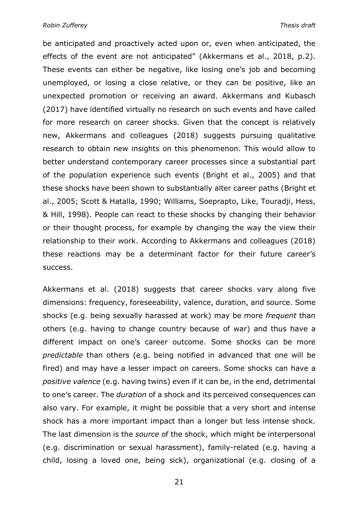*Robin Zufferey Thesis draft*

be anticipated and proactively acted upon or, even when anticipated, the effects of the event are not anticipated" (Akkermans et al., 2018, p.2). These events can either be negative, like losing one's job and becoming unemployed, or losing a close relative, or they can be positive, like an unexpected promotion or receiving an award. Akkermans and Kubasch (2017) have identified virtually no research on such events and have called for more research on career shocks. Given that the concept is relatively new, Akkermans and colleagues (2018) suggests pursuing qualitative research to obtain new insights on this phenomenon. This would allow to better understand contemporary career processes since a substantial part of the population experience such events (Bright et al., 2005) and that these shocks have been shown to substantially alter career paths (Bright et al., 2005; Scott & Hatalla, 1990; Williams, Soeprapto, Like, Touradji, Hess, & Hill, 1998). People can react to these shocks by changing their behavior or their thought process, for example by changing the way the view their relationship to their work. According to Akkermans and colleagues (2018) these reactions may be a determinant factor for their future career's success.

Akkermans et al. (2018) suggests that career shocks vary along five dimensions: frequency, foreseeability, valence, duration, and source. Some shocks (e.g. being sexually harassed at work) may be more *frequent* than others (e.g. having to change country because of war) and thus have a different impact on one's career outcome. Some shocks can be more *predictable* than others (e.g. being notified in advanced that one will be fired) and may have a lesser impact on careers. Some shocks can have a *positive valence* (e.g. having twins) even if it can be, in the end, detrimental to one's career. The *duration* of a shock and its perceived consequences can also vary. For example, it might be possible that a very short and intense shock has a more important impact than a longer but less intense shock. The last dimension is the *source* of the shock, which might be interpersonal (e.g. discrimination or sexual harassment), family-related (e.g. having a child, losing a loved one, being sick), organizational (e.g. closing of a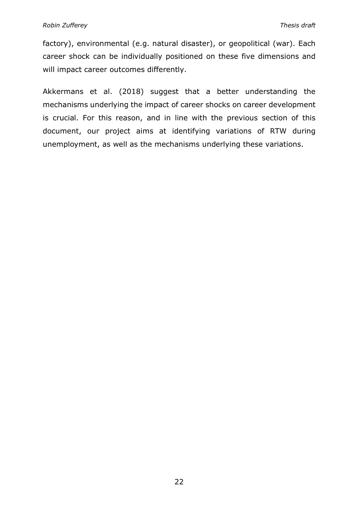factory), environmental (e.g. natural disaster), or geopolitical (war). Each career shock can be individually positioned on these five dimensions and will impact career outcomes differently.

Akkermans et al. (2018) suggest that a better understanding the mechanisms underlying the impact of career shocks on career development is crucial. For this reason, and in line with the previous section of this document, our project aims at identifying variations of RTW during unemployment, as well as the mechanisms underlying these variations.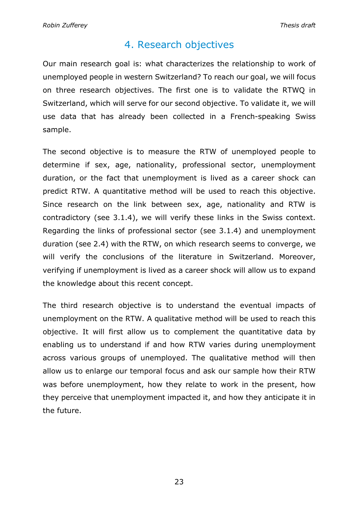## 4. Research objectives

Our main research goal is: what characterizes the relationship to work of unemployed people in western Switzerland? To reach our goal, we will focus on three research objectives. The first one is to validate the RTWQ in Switzerland, which will serve for our second objective. To validate it, we will use data that has already been collected in a French-speaking Swiss sample.

The second objective is to measure the RTW of unemployed people to determine if sex, age, nationality, professional sector, unemployment duration, or the fact that unemployment is lived as a career shock can predict RTW. A quantitative method will be used to reach this objective. Since research on the link between sex, age, nationality and RTW is contradictory (see 3.1.4), we will verify these links in the Swiss context. Regarding the links of professional sector (see 3.1.4) and unemployment duration (see 2.4) with the RTW, on which research seems to converge, we will verify the conclusions of the literature in Switzerland. Moreover, verifying if unemployment is lived as a career shock will allow us to expand the knowledge about this recent concept.

The third research objective is to understand the eventual impacts of unemployment on the RTW. A qualitative method will be used to reach this objective. It will first allow us to complement the quantitative data by enabling us to understand if and how RTW varies during unemployment across various groups of unemployed. The qualitative method will then allow us to enlarge our temporal focus and ask our sample how their RTW was before unemployment, how they relate to work in the present, how they perceive that unemployment impacted it, and how they anticipate it in the future.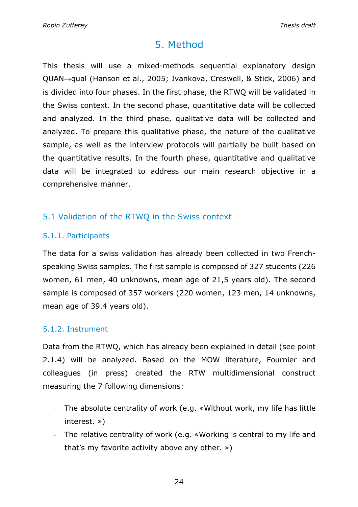## 5. Method

This thesis will use a mixed-methods sequential explanatory design QUAN→qual (Hanson et al., 2005; Ivankova, Creswell, & Stick, 2006) and is divided into four phases. In the first phase, the RTWQ will be validated in the Swiss context. In the second phase, quantitative data will be collected and analyzed. In the third phase, qualitative data will be collected and analyzed. To prepare this qualitative phase, the nature of the qualitative sample, as well as the interview protocols will partially be built based on the quantitative results. In the fourth phase, quantitative and qualitative data will be integrated to address our main research objective in a comprehensive manner.

## 5.1 Validation of the RTWQ in the Swiss context

## 5.1.1. Participants

The data for a swiss validation has already been collected in two Frenchspeaking Swiss samples. The first sample is composed of 327 students (226 women, 61 men, 40 unknowns, mean age of 21,5 years old). The second sample is composed of 357 workers (220 women, 123 men, 14 unknowns, mean age of 39.4 years old).

## 5.1.2. Instrument

Data from the RTWQ, which has already been explained in detail (see point 2.1.4) will be analyzed. Based on the MOW literature, Fournier and colleagues (in press) created the RTW multidimensional construct measuring the 7 following dimensions:

- The absolute centrality of work (e.g. «Without work, my life has little interest. »)
- The relative centrality of work (e.g. «Working is central to my life and that's my favorite activity above any other. »)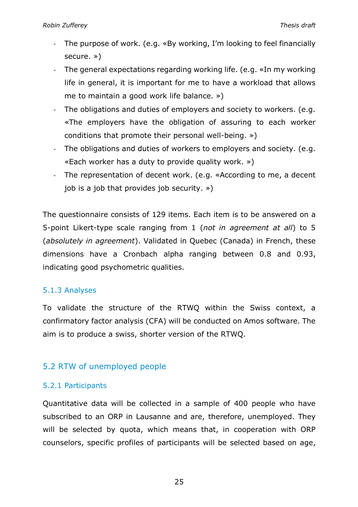- The purpose of work. (e.g. «By working, I'm looking to feel financially secure. »)
- The general expectations regarding working life. (e.g. «In my working life in general, it is important for me to have a workload that allows me to maintain a good work life balance. »)
- The obligations and duties of employers and society to workers. (e.g. «The employers have the obligation of assuring to each worker conditions that promote their personal well-being. »)
- The obligations and duties of workers to employers and society. (e.g. «Each worker has a duty to provide quality work. »)
- The representation of decent work. (e.g. «According to me, a decent job is a job that provides job security. »)

The questionnaire consists of 129 items. Each item is to be answered on a 5-point Likert-type scale ranging from 1 (*not in agreement at all*) to 5 (*absolutely in agreement*). Validated in Quebec (Canada) in French, these dimensions have a Cronbach alpha ranging between 0.8 and 0.93, indicating good psychometric qualities.

## 5.1.3 Analyses

To validate the structure of the RTWQ within the Swiss context, a confirmatory factor analysis (CFA) will be conducted on Amos software. The aim is to produce a swiss, shorter version of the RTWQ.

## 5.2 RTW of unemployed people

## 5.2.1 Participants

Quantitative data will be collected in a sample of 400 people who have subscribed to an ORP in Lausanne and are, therefore, unemployed. They will be selected by quota, which means that, in cooperation with ORP counselors, specific profiles of participants will be selected based on age,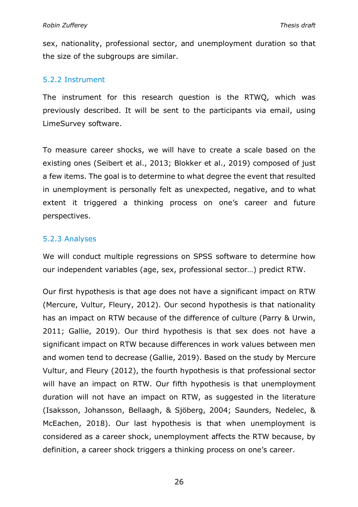sex, nationality, professional sector, and unemployment duration so that the size of the subgroups are similar.

#### 5.2.2 Instrument

The instrument for this research question is the RTWQ, which was previously described. It will be sent to the participants via email, using LimeSurvey software.

To measure career shocks, we will have to create a scale based on the existing ones (Seibert et al., 2013; Blokker et al., 2019) composed of just a few items. The goal is to determine to what degree the event that resulted in unemployment is personally felt as unexpected, negative, and to what extent it triggered a thinking process on one's career and future perspectives.

## 5.2.3 Analyses

We will conduct multiple regressions on SPSS software to determine how our independent variables (age, sex, professional sector…) predict RTW.

Our first hypothesis is that age does not have a significant impact on RTW (Mercure, Vultur, Fleury, 2012). Our second hypothesis is that nationality has an impact on RTW because of the difference of culture (Parry & Urwin, 2011; Gallie, 2019). Our third hypothesis is that sex does not have a significant impact on RTW because differences in work values between men and women tend to decrease (Gallie, 2019). Based on the study by Mercure Vultur, and Fleury (2012), the fourth hypothesis is that professional sector will have an impact on RTW. Our fifth hypothesis is that unemployment duration will not have an impact on RTW, as suggested in the literature (Isaksson, Johansson, Bellaagh, & Sjöberg, 2004; Saunders, Nedelec, & McEachen, 2018). Our last hypothesis is that when unemployment is considered as a career shock, unemployment affects the RTW because, by definition, a career shock triggers a thinking process on one's career.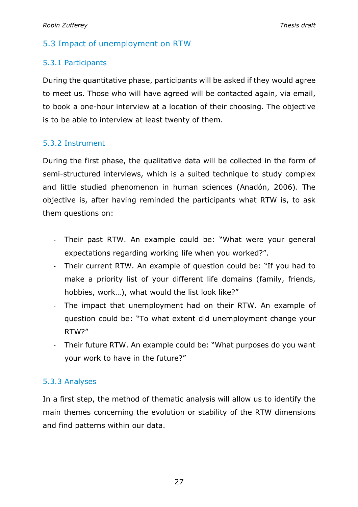## 5.3 Impact of unemployment on RTW

## 5.3.1 Participants

During the quantitative phase, participants will be asked if they would agree to meet us. Those who will have agreed will be contacted again, via email, to book a one-hour interview at a location of their choosing. The objective is to be able to interview at least twenty of them.

## 5.3.2 Instrument

During the first phase, the qualitative data will be collected in the form of semi-structured interviews, which is a suited technique to study complex and little studied phenomenon in human sciences (Anadón, 2006). The objective is, after having reminded the participants what RTW is, to ask them questions on:

- Their past RTW. An example could be: "What were your general expectations regarding working life when you worked?".
- Their current RTW. An example of question could be: "If you had to make a priority list of your different life domains (family, friends, hobbies, work…), what would the list look like?"
- The impact that unemployment had on their RTW. An example of question could be: "To what extent did unemployment change your RTW?"
- Their future RTW. An example could be: "What purposes do you want your work to have in the future?"

## 5.3.3 Analyses

In a first step, the method of thematic analysis will allow us to identify the main themes concerning the evolution or stability of the RTW dimensions and find patterns within our data.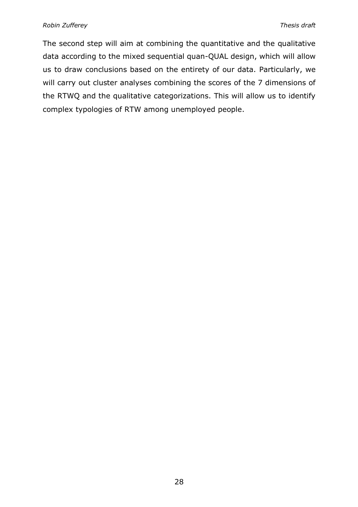The second step will aim at combining the quantitative and the qualitative data according to the mixed sequential quan-QUAL design, which will allow us to draw conclusions based on the entirety of our data. Particularly, we will carry out cluster analyses combining the scores of the 7 dimensions of the RTWQ and the qualitative categorizations. This will allow us to identify complex typologies of RTW among unemployed people.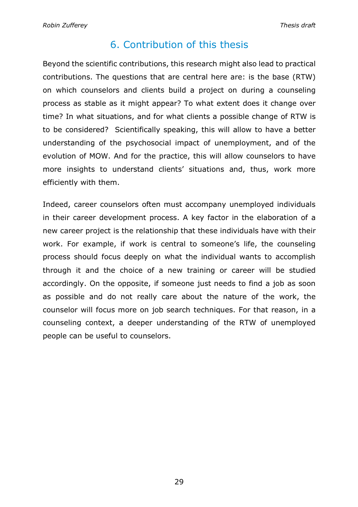## 6. Contribution of this thesis

Beyond the scientific contributions, this research might also lead to practical contributions. The questions that are central here are: is the base (RTW) on which counselors and clients build a project on during a counseling process as stable as it might appear? To what extent does it change over time? In what situations, and for what clients a possible change of RTW is to be considered? Scientifically speaking, this will allow to have a better understanding of the psychosocial impact of unemployment, and of the evolution of MOW. And for the practice, this will allow counselors to have more insights to understand clients' situations and, thus, work more efficiently with them.

Indeed, career counselors often must accompany unemployed individuals in their career development process. A key factor in the elaboration of a new career project is the relationship that these individuals have with their work. For example, if work is central to someone's life, the counseling process should focus deeply on what the individual wants to accomplish through it and the choice of a new training or career will be studied accordingly. On the opposite, if someone just needs to find a job as soon as possible and do not really care about the nature of the work, the counselor will focus more on job search techniques. For that reason, in a counseling context, a deeper understanding of the RTW of unemployed people can be useful to counselors.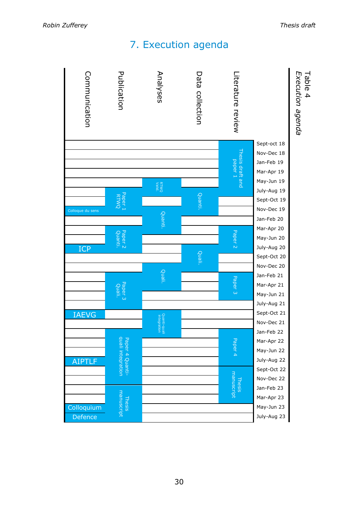## 7. Execution agenda

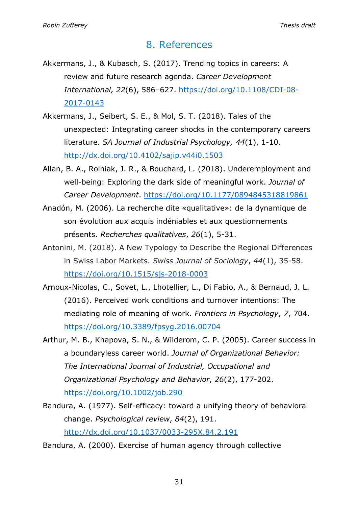## 8. References

- Akkermans, J., & Kubasch, S. (2017). Trending topics in careers: A review and future research agenda. *Career Development International, 22*(6), 586–627. https://doi.org/10.1108/CDI-08- 2017-0143
- Akkermans, J., Seibert, S. E., & Mol, S. T. (2018). Tales of the unexpected: Integrating career shocks in the contemporary careers literature. *SA Journal of Industrial Psychology, 44*(1), 1-10. http://dx.doi.org/10.4102/sajip.v44i0.1503
- Allan, B. A., Rolniak, J. R., & Bouchard, L. (2018). Underemployment and well-being: Exploring the dark side of meaningful work. *Journal of Career Development*. https://doi.org/10.1177/0894845318819861
- Anadón, M. (2006). La recherche dite «qualitative»: de la dynamique de son évolution aux acquis indéniables et aux questionnements présents. *Recherches qualitatives*, *26*(1), 5-31.
- Antonini, M. (2018). A New Typology to Describe the Regional Differences in Swiss Labor Markets. *Swiss Journal of Sociology*, *44*(1), 35-58. https://doi.org/10.1515/sjs-2018-0003
- Arnoux-Nicolas, C., Sovet, L., Lhotellier, L., Di Fabio, A., & Bernaud, J. L. (2016). Perceived work conditions and turnover intentions: The mediating role of meaning of work. *Frontiers in Psychology*, *7*, 704. https://doi.org/10.3389/fpsyg.2016.00704
- Arthur, M. B., Khapova, S. N., & Wilderom, C. P. (2005). Career success in a boundaryless career world. *Journal of Organizational Behavior: The International Journal of Industrial, Occupational and Organizational Psychology and Behavior*, *26*(2), 177-202. https://doi.org/10.1002/job.290
- Bandura, A. (1977). Self-efficacy: toward a unifying theory of behavioral change. *Psychological review*, *84*(2), 191. http://dx.doi.org/10.1037/0033-295X.84.2.191

Bandura, A. (2000). Exercise of human agency through collective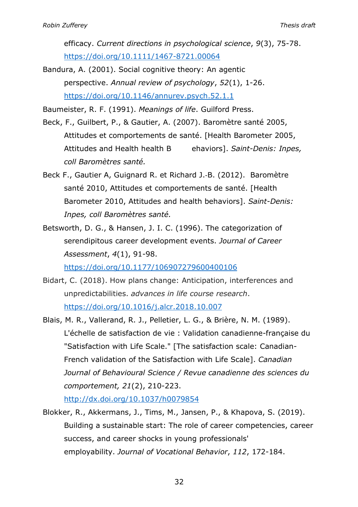efficacy. *Current directions in psychological science*, *9*(3), 75-78. https://doi.org/10.1111/1467-8721.00064

Bandura, A. (2001). Social cognitive theory: An agentic perspective. *Annual review of psychology*, *52*(1), 1-26. https://doi.org/10.1146/annurev.psych.52.1.1

Baumeister, R. F. (1991). *Meanings of life*. Guilford Press.

- Beck, F., Guilbert, P., & Gautier, A. (2007). Baromètre santé 2005, Attitudes et comportements de santé. [Health Barometer 2005, Attitudes and Health health B ehaviors]. *Saint-Denis: Inpes, coll Baromètres santé.*
- Beck F., Gautier A, Guignard R. et Richard J.-B. (2012). Baromètre santé 2010, Attitudes et comportements de santé. [Health Barometer 2010, Attitudes and health behaviors]. *Saint-Denis: Inpes, coll Baromètres santé.*
- Betsworth, D. G., & Hansen, J. I. C. (1996). The categorization of serendipitous career development events. *Journal of Career Assessment*, *4*(1), 91-98.

https://doi.org/10.1177/106907279600400106

- Bidart, C. (2018). How plans change: Anticipation, interferences and unpredictabilities. *advances in life course research*. https://doi.org/10.1016/j.alcr.2018.10.007
- Blais, M. R., Vallerand, R. J., Pelletier, L. G., & Brière, N. M. (1989). L'échelle de satisfaction de vie : Validation canadienne-française du "Satisfaction with Life Scale." [The satisfaction scale: Canadian-French validation of the Satisfaction with Life Scale]. *Canadian Journal of Behavioural Science / Revue canadienne des sciences du comportement, 21*(2), 210-223.

http://dx.doi.org/10.1037/h0079854

Blokker, R., Akkermans, J., Tims, M., Jansen, P., & Khapova, S. (2019). Building a sustainable start: The role of career competencies, career success, and career shocks in young professionals' employability. *Journal of Vocational Behavior*, *112*, 172-184.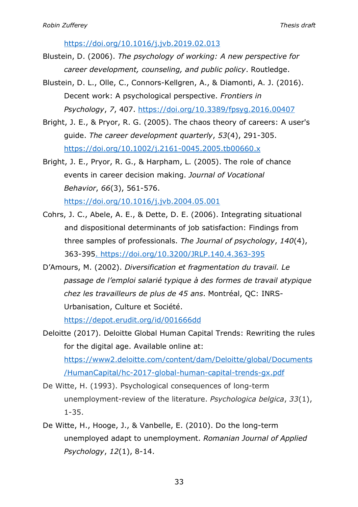https://doi.org/10.1016/j.jvb.2019.02.013

- Blustein, D. (2006). *The psychology of working: A new perspective for career development, counseling, and public policy*. Routledge.
- Blustein, D. L., Olle, C., Connors-Kellgren, A., & Diamonti, A. J. (2016). Decent work: A psychological perspective. *Frontiers in Psychology*, *7*, 407. https://doi.org/10.3389/fpsyg.2016.00407
- Bright, J. E., & Pryor, R. G. (2005). The chaos theory of careers: A user's guide. *The career development quarterly*, *53*(4), 291-305. https://doi.org/10.1002/j.2161-0045.2005.tb00660.x
- Bright, J. E., Pryor, R. G., & Harpham, L. (2005). The role of chance events in career decision making. *Journal of Vocational Behavior*, *66*(3), 561-576.

https://doi.org/10.1016/j.jvb.2004.05.001

- Cohrs, J. C., Abele, A. E., & Dette, D. E. (2006). Integrating situational and dispositional determinants of job satisfaction: Findings from three samples of professionals. *The Journal of psychology*, *140*(4), 363-395. https://doi.org/10.3200/JRLP.140.4.363-395
- D'Amours, M. (2002). *Diversification et fragmentation du travail. Le passage de l'emploi salarié typique à des formes de travail atypique chez les travailleurs de plus de 45 ans*. Montréal, QC: INRS-Urbanisation, Culture et Société.

https://depot.erudit.org/id/001666dd

Deloitte (2017). Deloitte Global Human Capital Trends: Rewriting the rules for the digital age. Available online at: https://www2.deloitte.com/content/dam/Deloitte/global/Documents /HumanCapital/hc-2017-global-human-capital-trends-gx.pdf

De Witte, H. (1993). Psychological consequences of long-term unemployment-review of the literature. *Psychologica belgica*, *33*(1), 1-35.

De Witte, H., Hooge, J., & Vanbelle, E. (2010). Do the long-term unemployed adapt to unemployment. *Romanian Journal of Applied Psychology*, *12*(1), 8-14.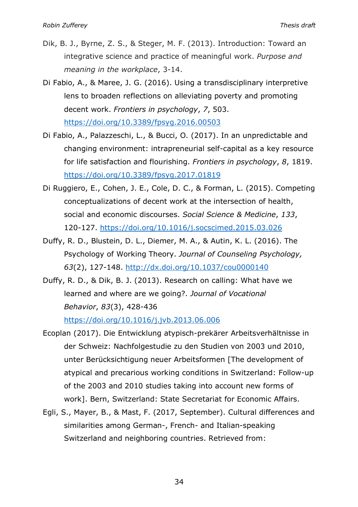- Dik, B. J., Byrne, Z. S., & Steger, M. F. (2013). Introduction: Toward an integrative science and practice of meaningful work. *Purpose and meaning in the workplace*, 3-14.
- Di Fabio, A., & Maree, J. G. (2016). Using a transdisciplinary interpretive lens to broaden reflections on alleviating poverty and promoting decent work. *Frontiers in psychology*, *7*, 503. https://doi.org/10.3389/fpsyg.2016.00503
- Di Fabio, A., Palazzeschi, L., & Bucci, O. (2017). In an unpredictable and changing environment: intrapreneurial self-capital as a key resource for life satisfaction and flourishing. *Frontiers in psychology*, *8*, 1819. https://doi.org/10.3389/fpsyg.2017.01819
- Di Ruggiero, E., Cohen, J. E., Cole, D. C., & Forman, L. (2015). Competing conceptualizations of decent work at the intersection of health, social and economic discourses. *Social Science & Medicine*, *133*, 120-127. https://doi.org/10.1016/j.socscimed.2015.03.026
- Duffy, R. D., Blustein, D. L., Diemer, M. A., & Autin, K. L. (2016). The Psychology of Working Theory. *Journal of Counseling Psychology, 63*(2), 127-148. http://dx.doi.org/10.1037/cou0000140
- Duffy, R. D., & Dik, B. J. (2013). Research on calling: What have we learned and where are we going?. *Journal of Vocational Behavior*, *83*(3), 428-436

https://doi.org/10.1016/j.jvb.2013.06.006

- Ecoplan (2017). Die Entwicklung atypisch-prekärer Arbeitsverhältnisse in der Schweiz: Nachfolgestudie zu den Studien von 2003 und 2010, unter Berücksichtigung neuer Arbeitsformen [The development of atypical and precarious working conditions in Switzerland: Follow-up of the 2003 and 2010 studies taking into account new forms of work]. Bern, Switzerland: State Secretariat for Economic Affairs.
- Egli, S., Mayer, B., & Mast, F. (2017, September). Cultural differences and similarities among German-, French- and Italian-speaking Switzerland and neighboring countries. Retrieved from: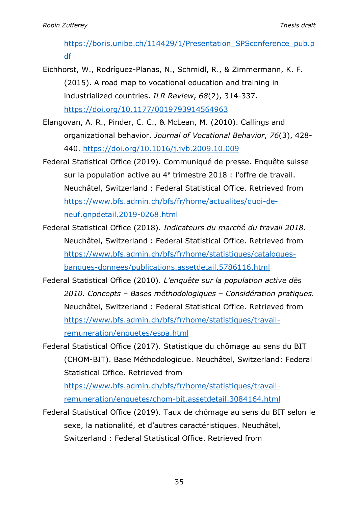https://boris.unibe.ch/114429/1/Presentation\_SPSconference\_pub.p df

- Eichhorst, W., Rodríguez-Planas, N., Schmidl, R., & Zimmermann, K. F. (2015). A road map to vocational education and training in industrialized countries. *ILR Review*, *68*(2), 314-337. https://doi.org/10.1177/0019793914564963
- Elangovan, A. R., Pinder, C. C., & McLean, M. (2010). Callings and organizational behavior. *Journal of Vocational Behavior*, *76*(3), 428- 440. https://doi.org/10.1016/j.jvb.2009.10.009
- Federal Statistical Office (2019). Communiqué de presse. Enquête suisse sur la population active au 4<sup>e</sup> trimestre 2018 : l'offre de travail. Neuchâtel, Switzerland : Federal Statistical Office. Retrieved from https://www.bfs.admin.ch/bfs/fr/home/actualites/quoi-deneuf.gnpdetail.2019-0268.html
- Federal Statistical Office (2018). *Indicateurs du marché du travail 2018.*  Neuchâtel, Switzerland : Federal Statistical Office. Retrieved from https://www.bfs.admin.ch/bfs/fr/home/statistiques/cataloguesbanques-donnees/publications.assetdetail.5786116.html
- Federal Statistical Office (2010). *L'enquête sur la population active dès 2010. Concepts – Bases méthodologiques – Considération pratiques.* Neuchâtel, Switzerland : Federal Statistical Office. Retrieved from https://www.bfs.admin.ch/bfs/fr/home/statistiques/travailremuneration/enquetes/espa.html
- Federal Statistical Office (2017). Statistique du chômage au sens du BIT (CHOM-BIT). Base Méthodologique. Neuchâtel, Switzerland: Federal Statistical Office. Retrieved from

https://www.bfs.admin.ch/bfs/fr/home/statistiques/travailremuneration/enquetes/chom-bit.assetdetail.3084164.html

Federal Statistical Office (2019). Taux de chômage au sens du BIT selon le sexe, la nationalité, et d'autres caractéristiques. Neuchâtel, Switzerland : Federal Statistical Office. Retrieved from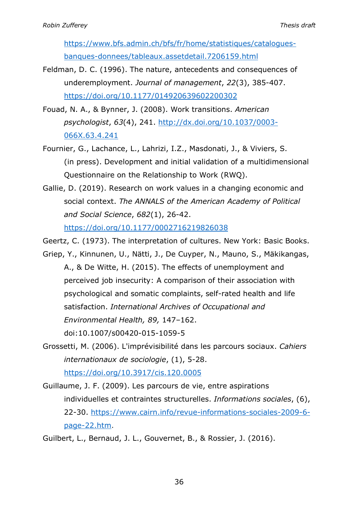https://www.bfs.admin.ch/bfs/fr/home/statistiques/cataloguesbanques-donnees/tableaux.assetdetail.7206159.html

- Feldman, D. C. (1996). The nature, antecedents and consequences of underemployment. *Journal of management*, *22*(3), 385-407. https://doi.org/10.1177/014920639602200302
- Fouad, N. A., & Bynner, J. (2008). Work transitions. *American psychologist*, *63*(4), 241. http://dx.doi.org/10.1037/0003- 066X.63.4.241
- Fournier, G., Lachance, L., Lahrizi, I.Z., Masdonati, J., & Viviers, S. (in press). Development and initial validation of a multidimensional Questionnaire on the Relationship to Work (RWQ).
- Gallie, D. (2019). Research on work values in a changing economic and social context. *The ANNALS of the American Academy of Political and Social Science*, *682*(1), 26-42.

https://doi.org/10.1177/0002716219826038

Geertz, C. (1973). The interpretation of cultures. New York: Basic Books.

- Griep, Y., Kinnunen, U., Nätti, J., De Cuyper, N., Mauno, S., Mäkikangas, A., & De Witte, H. (2015). The effects of unemployment and perceived job insecurity: A comparison of their association with psychological and somatic complaints, self-rated health and life satisfaction. *International Archives of Occupational and Environmental Health, 89,* 147–162. doi:10.1007/s00420-015-1059-5
- Grossetti, M. (2006). L'imprévisibilité dans les parcours sociaux. *Cahiers internationaux de sociologie*, (1), 5-28.

https://doi.org/10.3917/cis.120.0005

Guillaume, J. F. (2009). Les parcours de vie, entre aspirations individuelles et contraintes structurelles. *Informations sociales*, (6), 22-30. https://www.cairn.info/revue-informations-sociales-2009-6 page-22.htm.

Guilbert, L., Bernaud, J. L., Gouvernet, B., & Rossier, J. (2016).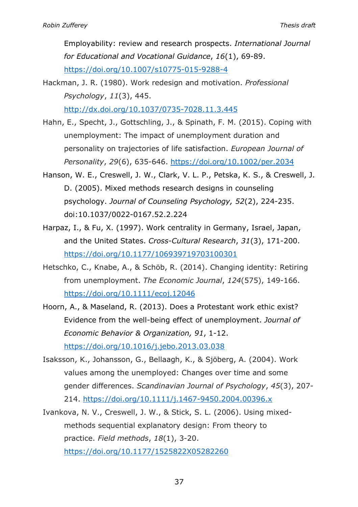Employability: review and research prospects. *International Journal for Educational and Vocational Guidance*, *16*(1), 69-89. https://doi.org/10.1007/s10775-015-9288-4

Hackman, J. R. (1980). Work redesign and motivation. *Professional Psychology*, *11*(3), 445. http://dx.doi.org/10.1037/0735-7028.11.3.445

Hahn, E., Specht, J., Gottschling, J., & Spinath, F. M. (2015). Coping with unemployment: The impact of unemployment duration and personality on trajectories of life satisfaction. *European Journal of Personality*, *29*(6), 635-646. https://doi.org/10.1002/per.2034

- Hanson, W. E., Creswell, J. W., Clark, V. L. P., Petska, K. S., & Creswell, J. D. (2005). Mixed methods research designs in counseling psychology. *Journal of Counseling Psychology, 52*(2), 224-235. doi:10.1037/0022-0167.52.2.224
- Harpaz, I., & Fu, X. (1997). Work centrality in Germany, Israel, Japan, and the United States. *Cross-Cultural Research*, *31*(3), 171-200. https://doi.org/10.1177/106939719703100301
- Hetschko, C., Knabe, A., & Schöb, R. (2014). Changing identity: Retiring from unemployment. *The Economic Journal*, *124*(575), 149-166. https://doi.org/10.1111/ecoj.12046
- Hoorn, A., & Maseland, R. (2013). Does a Protestant work ethic exist? Evidence from the well-being effect of unemployment. *Journal of Economic Behavior & Organization, 91*, 1-12. https://doi.org/10.1016/j.jebo.2013.03.038
- Isaksson, K., Johansson, G., Bellaagh, K., & Sjöberg, A. (2004). Work values among the unemployed: Changes over time and some gender differences. *Scandinavian Journal of Psychology*, *45*(3), 207- 214. https://doi.org/10.1111/j.1467-9450.2004.00396.x
- Ivankova, N. V., Creswell, J. W., & Stick, S. L. (2006). Using mixedmethods sequential explanatory design: From theory to practice. *Field methods*, *18*(1), 3-20. https://doi.org/10.1177/1525822X05282260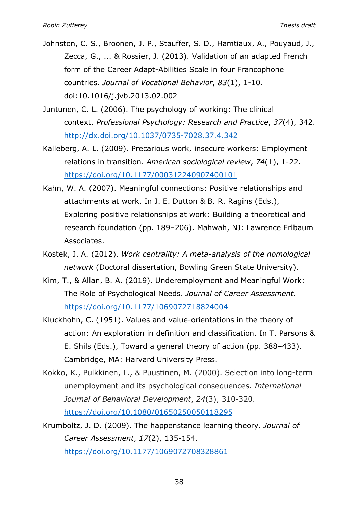- Johnston, C. S., Broonen, J. P., Stauffer, S. D., Hamtiaux, A., Pouyaud, J., Zecca, G., ... & Rossier, J. (2013). Validation of an adapted French form of the Career Adapt-Abilities Scale in four Francophone countries. *Journal of Vocational Behavior*, *83*(1), 1-10. doi:10.1016/j.jvb.2013.02.002
- Juntunen, C. L. (2006). The psychology of working: The clinical context. *Professional Psychology: Research and Practice*, *37*(4), 342. http://dx.doi.org/10.1037/0735-7028.37.4.342
- Kalleberg, A. L. (2009). Precarious work, insecure workers: Employment relations in transition. *American sociological review*, *74*(1), 1-22. https://doi.org/10.1177/000312240907400101
- Kahn, W. A. (2007). Meaningful connections: Positive relationships and attachments at work. In J. E. Dutton & B. R. Ragins (Eds.), Exploring positive relationships at work: Building a theoretical and research foundation (pp. 189–206). Mahwah, NJ: Lawrence Erlbaum Associates.
- Kostek, J. A. (2012). *Work centrality: A meta-analysis of the nomological network* (Doctoral dissertation, Bowling Green State University).
- Kim, T., & Allan, B. A. (2019). Underemployment and Meaningful Work: The Role of Psychological Needs. *Journal of Career Assessment.*  https://doi.org/10.1177/1069072718824004
- Kluckhohn, C. (1951). Values and value-orientations in the theory of action: An exploration in definition and classification. In T. Parsons & E. Shils (Eds.), Toward a general theory of action (pp. 388–433). Cambridge, MA: Harvard University Press.
- Kokko, K., Pulkkinen, L., & Puustinen, M. (2000). Selection into long-term unemployment and its psychological consequences. *International Journal of Behavioral Development*, *24*(3), 310-320. https://doi.org/10.1080/01650250050118295
- Krumboltz, J. D. (2009). The happenstance learning theory. *Journal of Career Assessment*, *17*(2), 135-154.

https://doi.org/10.1177/1069072708328861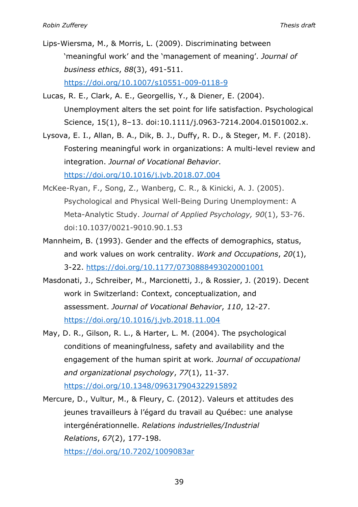- Lips-Wiersma, M., & Morris, L. (2009). Discriminating between 'meaningful work' and the 'management of meaning'. *Journal of business ethics*, *88*(3), 491-511. https://doi.org/10.1007/s10551-009-0118-9
- Lucas, R. E., Clark, A. E., Georgellis, Y., & Diener, E. (2004). Unemployment alters the set point for life satisfaction. Psychological Science, 15(1), 8–13. doi:10.1111/j.0963-7214.2004.01501002.x.
- Lysova, E. I., Allan, B. A., Dik, B. J., Duffy, R. D., & Steger, M. F. (2018). Fostering meaningful work in organizations: A multi-level review and integration. *Journal of Vocational Behavior*. https://doi.org/10.1016/j.jvb.2018.07.004
- McKee-Ryan, F., Song, Z., Wanberg, C. R., & Kinicki, A. J. (2005). Psychological and Physical Well-Being During Unemployment: A Meta-Analytic Study. *Journal of Applied Psychology, 90*(1), 53-76. doi:10.1037/0021-9010.90.1.53
- Mannheim, B. (1993). Gender and the effects of demographics, status, and work values on work centrality. *Work and Occupations*, *20*(1), 3-22. https://doi.org/10.1177/0730888493020001001
- Masdonati, J., Schreiber, M., Marcionetti, J., & Rossier, J. (2019). Decent work in Switzerland: Context, conceptualization, and assessment. *Journal of Vocational Behavior*, *110*, 12-27. https://doi.org/10.1016/j.jvb.2018.11.004
- May, D. R., Gilson, R. L., & Harter, L. M. (2004). The psychological conditions of meaningfulness, safety and availability and the engagement of the human spirit at work. *Journal of occupational and organizational psychology*, *77*(1), 11-37.

https://doi.org/10.1348/096317904322915892

Mercure, D., Vultur, M., & Fleury, C. (2012). Valeurs et attitudes des jeunes travailleurs à l'égard du travail au Québec: une analyse intergénérationnelle. *Relations industrielles/Industrial Relations*, *67*(2), 177-198.

https://doi.org/10.7202/1009083ar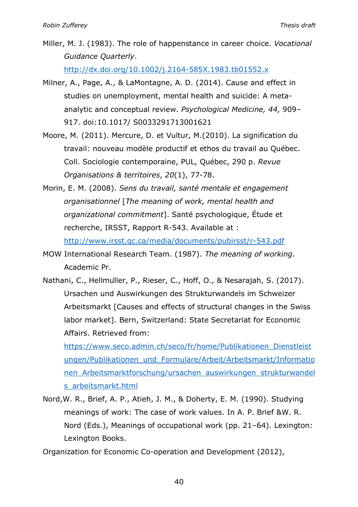Miller, M. J. (1983). The role of happenstance in career choice. *Vocational Guidance Quarterly*.

http://dx.doi.org/10.1002/j.2164-585X.1983.tb01552.x

- Milner, A., Page, A., & LaMontagne, A. D. (2014). Cause and effect in studies on unemployment, mental health and suicide: A metaanalytic and conceptual review. *Psychological Medicine, 44,* 909– 917. doi:10.1017/ S0033291713001621
- Moore, M. (2011). Mercure, D. et Vultur, M.(2010). La signification du travail: nouveau modèle productif et ethos du travail au Québec. Coll. Sociologie contemporaine, PUL, Québec, 290 p. *Revue Organisations & territoires*, *20*(1), 77-78.
- Morin, E. M. (2008). *Sens du travail, santé mentale et engagement organisationnel* [*The meaning of work, mental health and organizational commitment*]. Santé psychologique, Étude et recherche, IRSST, Rapport R-543. Available at :

http://www.irsst.qc.ca/media/documents/pubirsst/r-543.pdf

MOW International Research Team. (1987). *The meaning of working*. Academic Pr.

Nathani, C., Hellmüller, P., Rieser, C., Hoff, O., & Nesarajah, S. (2017). Ursachen und Auswirkungen des Strukturwandels im Schweizer Arbeitsmarkt [Causes and effects of structural changes in the Swiss labor market]. Bern, Switzerland: State Secretariat for Economic Affairs. Retrieved from:

https://www.seco.admin.ch/seco/fr/home/Publikationen\_Dienstleist ungen/Publikationen\_und\_Formulare/Arbeit/Arbeitsmarkt/Informatio nen\_Arbeitsmarktforschung/ursachen\_auswirkungen\_strukturwandel s\_arbeitsmarkt.html

Nord,W. R., Brief, A. P., Atieh, J. M., & Doherty, E. M. (1990). Studying meanings of work: The case of work values. In A. P. Brief &W. R. Nord (Eds.), Meanings of occupational work (pp. 21–64). Lexington: Lexington Books.

Organization for Economic Co-operation and Development (2012),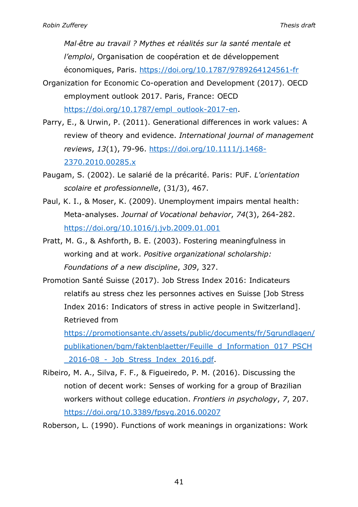*Mal*-*être au travail ? Mythes et réalités sur la santé mentale et l'emploi*, Organisation de coopération et de développement économiques, Paris. https://doi.org/10.1787/9789264124561-fr

- Organization for Economic Co-operation and Development (2017). OECD employment outlook 2017. Paris, France: OECD https://doi.org/10.1787/empl\_outlook-2017-en.
- Parry, E., & Urwin, P. (2011). Generational differences in work values: A review of theory and evidence. *International journal of management reviews*, *13*(1), 79-96. https://doi.org/10.1111/j.1468- 2370.2010.00285.x
- Paugam, S. (2002). Le salarié de la précarité. Paris: PUF. *L'orientation scolaire et professionnelle*, (31/3), 467.
- Paul, K. I., & Moser, K. (2009). Unemployment impairs mental health: Meta-analyses. *Journal of Vocational behavior*, *74*(3), 264-282. https://doi.org/10.1016/j.jvb.2009.01.001
- Pratt, M. G., & Ashforth, B. E. (2003). Fostering meaningfulness in working and at work. *Positive organizational scholarship: Foundations of a new discipline*, *309*, 327.
- Promotion Santé Suisse (2017). Job Stress Index 2016: Indicateurs relatifs au stress chez les personnes actives en Suisse [Job Stress Index 2016: Indicators of stress in active people in Switzerland]. Retrieved from

https://promotionsante.ch/assets/public/documents/fr/5grundlagen/ publikationen/bgm/faktenblaetter/Feuille\_d\_Information\_017\_PSCH \_2016-08\_-\_Job\_Stress\_Index\_2016.pdf.

Ribeiro, M. A., Silva, F. F., & Figueiredo, P. M. (2016). Discussing the notion of decent work: Senses of working for a group of Brazilian workers without college education. *Frontiers in psychology*, *7*, 207. https://doi.org/10.3389/fpsyg.2016.00207

Roberson, L. (1990). Functions of work meanings in organizations: Work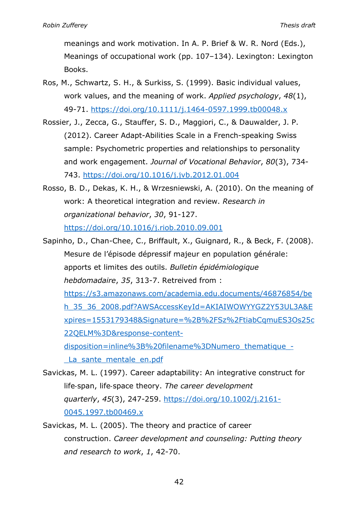meanings and work motivation. In A. P. Brief & W. R. Nord (Eds.), Meanings of occupational work (pp. 107–134). Lexington: Lexington Books.

- Ros, M., Schwartz, S. H., & Surkiss, S. (1999). Basic individual values, work values, and the meaning of work. *Applied psychology*, *48*(1), 49-71. https://doi.org/10.1111/j.1464-0597.1999.tb00048.x
- Rossier, J., Zecca, G., Stauffer, S. D., Maggiori, C., & Dauwalder, J. P. (2012). Career Adapt-Abilities Scale in a French-speaking Swiss sample: Psychometric properties and relationships to personality and work engagement. *Journal of Vocational Behavior*, *80*(3), 734- 743. https://doi.org/10.1016/j.jvb.2012.01.004
- Rosso, B. D., Dekas, K. H., & Wrzesniewski, A. (2010). On the meaning of work: A theoretical integration and review. *Research in organizational behavior*, *30*, 91-127. https://doi.org/10.1016/j.riob.2010.09.001

Sapinho, D., Chan-Chee, C., Briffault, X., Guignard, R., & Beck, F. (2008). Mesure de l'épisode dépressif majeur en population générale: apports et limites des outils. *Bulletin épidémiologique hebdomadaire*, *35*, 313-7. Retreived from : https://s3.amazonaws.com/academia.edu.documents/46876854/be h\_35\_36\_2008.pdf?AWSAccessKeyId=AKIAIWOWYYGZ2Y53UL3A&E xpires=1553179348&Signature=%2B%2FSz%2FtiabCqmuES3Os25c 22QELM%3D&response-contentdisposition=inline%3B%20filename%3DNumero\_thematique\_-

La sante mentale en.pdf

- Savickas, M. L. (1997). Career adaptability: An integrative construct for life-span, life-space theory. *The career development quarterly*, *45*(3), 247-259. https://doi.org/10.1002/j.2161- 0045.1997.tb00469.x
- Savickas, M. L. (2005). The theory and practice of career construction. *Career development and counseling: Putting theory and research to work*, *1*, 42-70.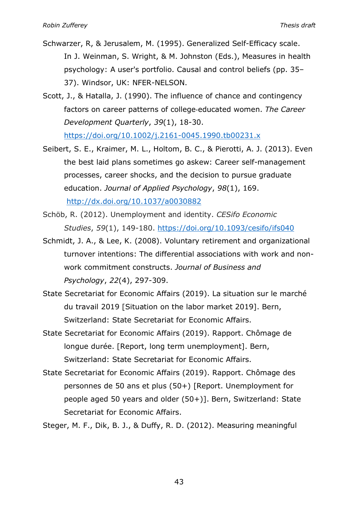- Schwarzer, R, & Jerusalem, M. (1995). Generalized Self-Efficacy scale. In J. Weinman, S. Wright, & M. Johnston (Eds.), Measures in health psychology: A user's portfolio. Causal and control beliefs (pp. 35– 37). Windsor, UK: NFER-NELSON.
- Scott, J., & Hatalla, J. (1990). The influence of chance and contingency factors on career patterns of college-educated women. *The Career Development Quarterly*, *39*(1), 18-30.

https://doi.org/10.1002/j.2161-0045.1990.tb00231.x

- Seibert, S. E., Kraimer, M. L., Holtom, B. C., & Pierotti, A. J. (2013). Even the best laid plans sometimes go askew: Career self-management processes, career shocks, and the decision to pursue graduate education. *Journal of Applied Psychology*, *98*(1), 169. http://dx.doi.org/10.1037/a0030882
- Schöb, R. (2012). Unemployment and identity. *CESifo Economic Studies*, *59*(1), 149-180. https://doi.org/10.1093/cesifo/ifs040
- Schmidt, J. A., & Lee, K. (2008). Voluntary retirement and organizational turnover intentions: The differential associations with work and nonwork commitment constructs. *Journal of Business and Psychology*, *22*(4), 297-309.
- State Secretariat for Economic Affairs (2019). La situation sur le marché du travail 2019 [Situation on the labor market 2019]. Bern, Switzerland: State Secretariat for Economic Affairs.
- State Secretariat for Economic Affairs (2019). Rapport. Chômage de longue durée. [Report, long term unemployment]. Bern, Switzerland: State Secretariat for Economic Affairs.
- State Secretariat for Economic Affairs (2019). Rapport. Chômage des personnes de 50 ans et plus (50+) [Report. Unemployment for people aged 50 years and older (50+)]. Bern, Switzerland: State Secretariat for Economic Affairs.

Steger, M. F., Dik, B. J., & Duffy, R. D. (2012). Measuring meaningful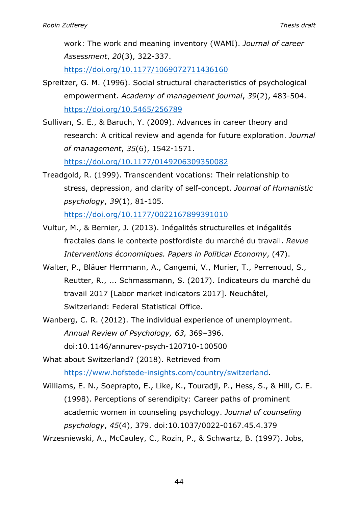work: The work and meaning inventory (WAMI). *Journal of career Assessment*, *20*(3), 322-337.

https://doi.org/10.1177/1069072711436160

- Spreitzer, G. M. (1996). Social structural characteristics of psychological empowerment. *Academy of management journal*, *39*(2), 483-504. https://doi.org/10.5465/256789
- Sullivan, S. E., & Baruch, Y. (2009). Advances in career theory and research: A critical review and agenda for future exploration. *Journal of management*, *35*(6), 1542-1571. https://doi.org/10.1177/0149206309350082
- Treadgold, R. (1999). Transcendent vocations: Their relationship to stress, depression, and clarity of self-concept. *Journal of Humanistic psychology*, *39*(1), 81-105.

https://doi.org/10.1177/0022167899391010

- Vultur, M., & Bernier, J. (2013). Inégalités structurelles et inégalités fractales dans le contexte postfordiste du marché du travail. *Revue Interventions économiques. Papers in Political Economy*, (47).
- Walter, P., Bläuer Herrmann, A., Cangemi, V., Murier, T., Perrenoud, S., Reutter, R., ... Schmassmann, S. (2017). Indicateurs du marché du travail 2017 [Labor market indicators 2017]. Neuchâtel, Switzerland: Federal Statistical Office.
- Wanberg, C. R. (2012). The individual experience of unemployment. *Annual Review of Psychology, 63,* 369–396. doi:10.1146/annurev-psych-120710-100500
- What about Switzerland? (2018). Retrieved from https://www.hofstede-insights.com/country/switzerland.
- Williams, E. N., Soeprapto, E., Like, K., Touradji, P., Hess, S., & Hill, C. E. (1998). Perceptions of serendipity: Career paths of prominent academic women in counseling psychology. *Journal of counseling psychology*, *45*(4), 379. doi:10.1037/0022-0167.45.4.379
- Wrzesniewski, A., McCauley, C., Rozin, P., & Schwartz, B. (1997). Jobs,